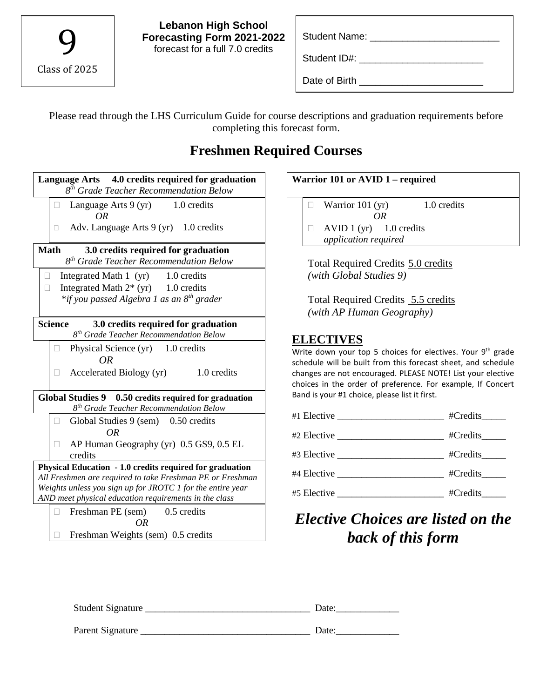| Class of 2025 |  |
|---------------|--|

Student ID#: \_\_\_\_\_\_\_\_\_\_\_\_\_\_\_\_\_\_\_\_\_\_\_

Date of Birth \_\_\_\_\_\_\_\_\_\_\_\_\_\_\_\_\_\_\_\_\_\_\_

Please read through the LHS Curriculum Guide for course descriptions and graduation requirements before completing this forecast form.

### **Freshmen Required Courses**

| Language Arts 4.0 credits required for graduation<br>8 <sup>th</sup> Grade Teacher Recommendation Below                                                                             |  |  |
|-------------------------------------------------------------------------------------------------------------------------------------------------------------------------------------|--|--|
| Language Arts 9 (yr) 1.0 credits<br><b>OR</b>                                                                                                                                       |  |  |
| Adv. Language Arts $9(yr)$ 1.0 credits<br>O.                                                                                                                                        |  |  |
| <b>Math</b><br>3.0 credits required for graduation<br>8 <sup>th</sup> Grade Teacher Recommendation Below                                                                            |  |  |
| Integrated Math $1(yr)$ 1.0 credits<br>H<br>$\Box$<br>Integrated Math $2^*$ (yr) 1.0 credits                                                                                        |  |  |
| *if you passed Algebra 1 as an 8 <sup>th</sup> grader                                                                                                                               |  |  |
| <b>Science</b><br>3.0 credits required for graduation<br>8 <sup>th</sup> Grade Teacher Recommendation Below                                                                         |  |  |
| Physical Science (yr) 1.0 credits<br><b>OR</b>                                                                                                                                      |  |  |
| 1.0 credits<br>Accelerated Biology (yr)                                                                                                                                             |  |  |
| Global Studies 9 0.50 credits required for graduation<br>8 <sup>th</sup> Grade Teacher Recommendation Below                                                                         |  |  |
| Global Studies 9 (sem) 0.50 credits<br>П<br>0R                                                                                                                                      |  |  |
| AP Human Geography (yr) 0.5 GS9, 0.5 EL<br>credits                                                                                                                                  |  |  |
| Physical Education - 1.0 credits required for graduation<br>All Freshmen are required to take Freshman PE or Freshman<br>Weights unless you sign up for JROTC 1 for the entire year |  |  |
| AND meet physical education requirements in the class                                                                                                                               |  |  |
| Freshman PE (sem) 0.5 credits<br>OR                                                                                                                                                 |  |  |
| Freshman Weights (sem) 0.5 credits                                                                                                                                                  |  |  |

## **Warrior 101 or AVID 1 – required**  $\Box$  Warrior 101 (yr) 1.0 credits *OR*  $\Box$  AVID 1 (yr) 1.0 credits *application required* Total Required Credits 5.0 credits *(with Global Studies 9)* Total Required Credits 5.5 credits *(with AP Human Geography)* **ELECTIVES**  Write down your top 5 choices for electives. Your 9<sup>th</sup> grade schedule will be built from this forecast sheet, and schedule changes are not encouraged. PLEASE NOTE! List your elective choices in the order of preference. For example, If Concert Band is your #1 choice, please list it first. #1 Elective \_\_\_\_\_\_\_\_\_\_\_\_\_\_\_\_\_\_\_\_\_\_ #Credits\_\_\_\_\_

|             | #Credits |
|-------------|----------|
|             | #Credits |
|             | #Credits |
| #5 Elective | #Credits |

# *Elective Choices are listed on the back of this form*

| Student Signature | Date: |
|-------------------|-------|
| Parent Signature  | Date: |